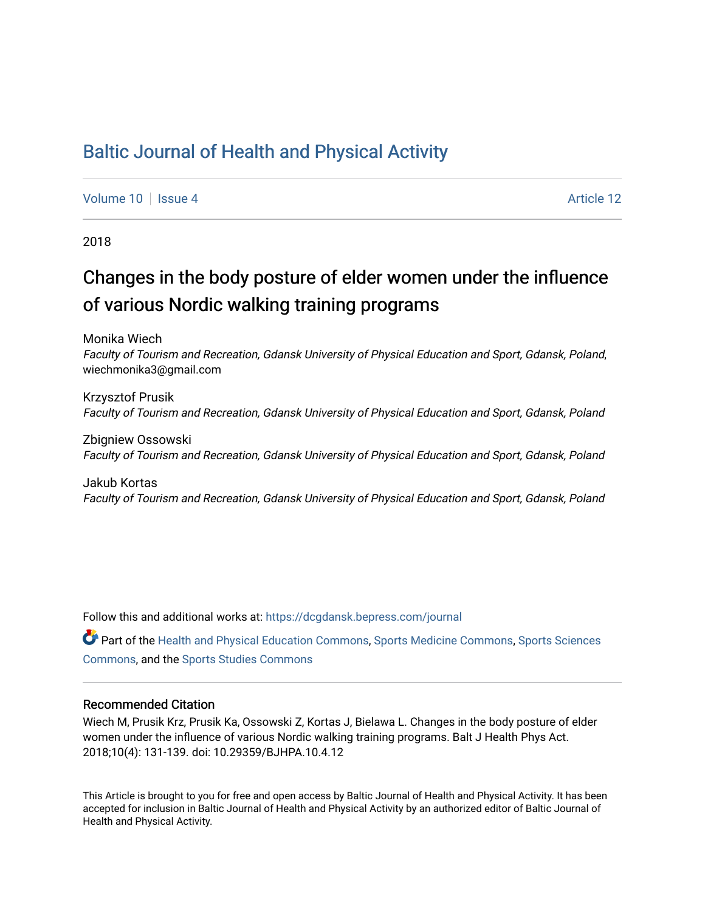## [Baltic Journal of Health and Physical Activity](https://dcgdansk.bepress.com/journal)

[Volume 10](https://dcgdansk.bepress.com/journal/vol10) | [Issue 4](https://dcgdansk.bepress.com/journal/vol10/iss4) Article 12

2018

## Changes in the body posture of elder women under the influence of various Nordic walking training programs

Monika Wiech

Faculty of Tourism and Recreation, Gdansk University of Physical Education and Sport, Gdansk, Poland, wiechmonika3@gmail.com

Krzysztof Prusik Faculty of Tourism and Recreation, Gdansk University of Physical Education and Sport, Gdansk, Poland

Zbigniew Ossowski Faculty of Tourism and Recreation, Gdansk University of Physical Education and Sport, Gdansk, Poland

Jakub Kortas Faculty of Tourism and Recreation, Gdansk University of Physical Education and Sport, Gdansk, Poland

Follow this and additional works at: [https://dcgdansk.bepress.com/journal](https://dcgdansk.bepress.com/journal?utm_source=dcgdansk.bepress.com%2Fjournal%2Fvol10%2Fiss4%2F12&utm_medium=PDF&utm_campaign=PDFCoverPages)

Part of the [Health and Physical Education Commons](http://network.bepress.com/hgg/discipline/1327?utm_source=dcgdansk.bepress.com%2Fjournal%2Fvol10%2Fiss4%2F12&utm_medium=PDF&utm_campaign=PDFCoverPages), [Sports Medicine Commons,](http://network.bepress.com/hgg/discipline/1331?utm_source=dcgdansk.bepress.com%2Fjournal%2Fvol10%2Fiss4%2F12&utm_medium=PDF&utm_campaign=PDFCoverPages) [Sports Sciences](http://network.bepress.com/hgg/discipline/759?utm_source=dcgdansk.bepress.com%2Fjournal%2Fvol10%2Fiss4%2F12&utm_medium=PDF&utm_campaign=PDFCoverPages) [Commons](http://network.bepress.com/hgg/discipline/759?utm_source=dcgdansk.bepress.com%2Fjournal%2Fvol10%2Fiss4%2F12&utm_medium=PDF&utm_campaign=PDFCoverPages), and the [Sports Studies Commons](http://network.bepress.com/hgg/discipline/1198?utm_source=dcgdansk.bepress.com%2Fjournal%2Fvol10%2Fiss4%2F12&utm_medium=PDF&utm_campaign=PDFCoverPages) 

#### Recommended Citation

Wiech M, Prusik Krz, Prusik Ka, Ossowski Z, Kortas J, Bielawa L. Changes in the body posture of elder women under the influence of various Nordic walking training programs. Balt J Health Phys Act. 2018;10(4): 131-139. doi: 10.29359/BJHPA.10.4.12

This Article is brought to you for free and open access by Baltic Journal of Health and Physical Activity. It has been accepted for inclusion in Baltic Journal of Health and Physical Activity by an authorized editor of Baltic Journal of Health and Physical Activity.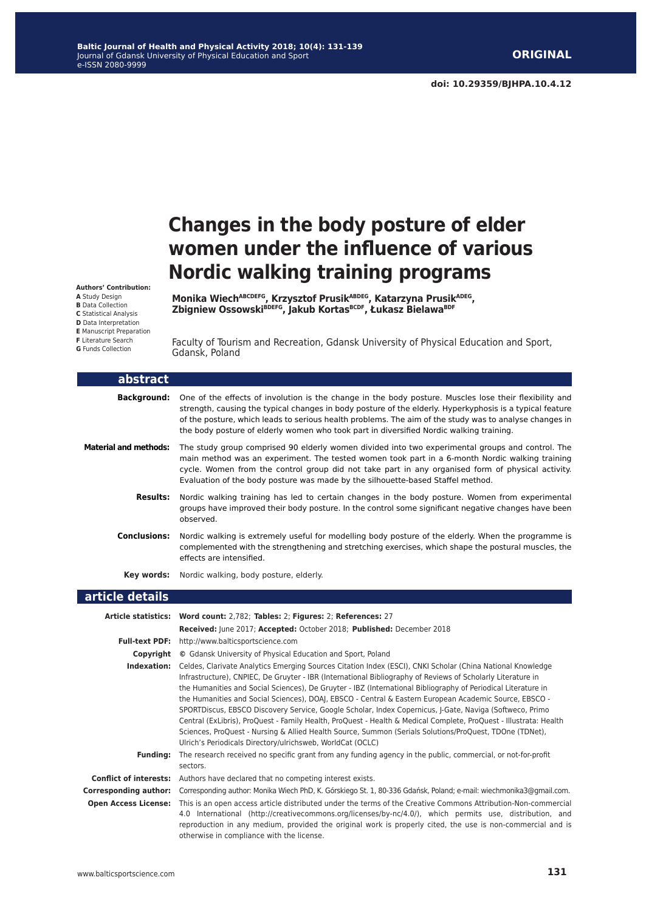# **Changes in the body posture of elder women under the influence of various Nordic walking training programs**

**Monika WiechABCDEFG, Krzysztof PrusikABDEG, Katarzyna PrusikADEG, Zbigniew OssowskiBDEFG, Jakub KortasBCDF, Łukasz BielawaBDF**

Faculty of Tourism and Recreation, Gdansk University of Physical Education and Sport, Gdansk, Poland

| abstract                     |                                                                                                                                                                                                                                                                                                                                                                                                                                                                                                                                                                                                                                                                                                                                                                                                                                                               |
|------------------------------|---------------------------------------------------------------------------------------------------------------------------------------------------------------------------------------------------------------------------------------------------------------------------------------------------------------------------------------------------------------------------------------------------------------------------------------------------------------------------------------------------------------------------------------------------------------------------------------------------------------------------------------------------------------------------------------------------------------------------------------------------------------------------------------------------------------------------------------------------------------|
| <b>Background:</b>           | One of the effects of involution is the change in the body posture. Muscles lose their flexibility and<br>strength, causing the typical changes in body posture of the elderly. Hyperkyphosis is a typical feature<br>of the posture, which leads to serious health problems. The aim of the study was to analyse changes in<br>the body posture of elderly women who took part in diversified Nordic walking training.                                                                                                                                                                                                                                                                                                                                                                                                                                       |
| <b>Material and methods:</b> | The study group comprised 90 elderly women divided into two experimental groups and control. The<br>main method was an experiment. The tested women took part in a 6-month Nordic walking training<br>cycle. Women from the control group did not take part in any organised form of physical activity.<br>Evaluation of the body posture was made by the silhouette-based Staffel method.                                                                                                                                                                                                                                                                                                                                                                                                                                                                    |
| <b>Results:</b>              | Nordic walking training has led to certain changes in the body posture. Women from experimental<br>groups have improved their body posture. In the control some significant negative changes have been<br>observed.                                                                                                                                                                                                                                                                                                                                                                                                                                                                                                                                                                                                                                           |
| <b>Conclusions:</b>          | Nordic walking is extremely useful for modelling body posture of the elderly. When the programme is<br>complemented with the strengthening and stretching exercises, which shape the postural muscles, the<br>effects are intensified.                                                                                                                                                                                                                                                                                                                                                                                                                                                                                                                                                                                                                        |
| Key words:                   | Nordic walking, body posture, elderly.                                                                                                                                                                                                                                                                                                                                                                                                                                                                                                                                                                                                                                                                                                                                                                                                                        |
| article details              |                                                                                                                                                                                                                                                                                                                                                                                                                                                                                                                                                                                                                                                                                                                                                                                                                                                               |
|                              | Article statistics: Word count: 2,782; Tables: 2; Figures: 2; References: 27<br>Received: June 2017; Accepted: October 2018; Published: December 2018                                                                                                                                                                                                                                                                                                                                                                                                                                                                                                                                                                                                                                                                                                         |
|                              | Full-text PDF: http://www.balticsportscience.com                                                                                                                                                                                                                                                                                                                                                                                                                                                                                                                                                                                                                                                                                                                                                                                                              |
|                              | <b>Copyright</b> © Gdansk University of Physical Education and Sport, Poland                                                                                                                                                                                                                                                                                                                                                                                                                                                                                                                                                                                                                                                                                                                                                                                  |
| Indexation:                  | Celdes, Clarivate Analytics Emerging Sources Citation Index (ESCI), CNKI Scholar (China National Knowledge<br>Infrastructure), CNPIEC, De Gruyter - IBR (International Bibliography of Reviews of Scholarly Literature in<br>the Humanities and Social Sciences), De Gruyter - IBZ (International Bibliography of Periodical Literature in<br>the Humanities and Social Sciences), DOAI, EBSCO - Central & Eastern European Academic Source, EBSCO -<br>SPORTDiscus, EBSCO Discovery Service, Google Scholar, Index Copernicus, J-Gate, Naviga (Softweco, Primo<br>Central (ExLibris), ProQuest - Family Health, ProQuest - Health & Medical Complete, ProQuest - Illustrata: Health<br>Sciences, ProQuest - Nursing & Allied Health Source, Summon (Serials Solutions/ProQuest, TDOne (TDNet),<br>Ulrich's Periodicals Directory/ulrichsweb, WorldCat (OCLC) |

**Funding:** The research received no specific grant from any funding agency in the public, commercial, or not-for-profit sectors.

**Conflict of interests:** Authors have declared that no competing interest exists.

**Corresponding author:** Corresponding author: Monika Wiech PhD, K. Górskiego St. 1, 80-336 Gdańsk, Poland; e-mail: wiechmonika3@gmail.com. **Open Access License:** This is an open access article distributed under the terms of the Creative Commons Attribution-Non-commercial 4.0 International (http://creativecommons.org/licenses/by-nc/4.0/), which permits use, distribution, and reproduction in any medium, provided the original work is properly cited, the use is non-commercial and is otherwise in compliance with the license.

#### **Authors' Contribution: A** Study Design

**B** Data Collection **C** Statistical Analysis **D** Data Interpretation **E** Manuscript Preparation **F** Literature Search

**G** Funds Collection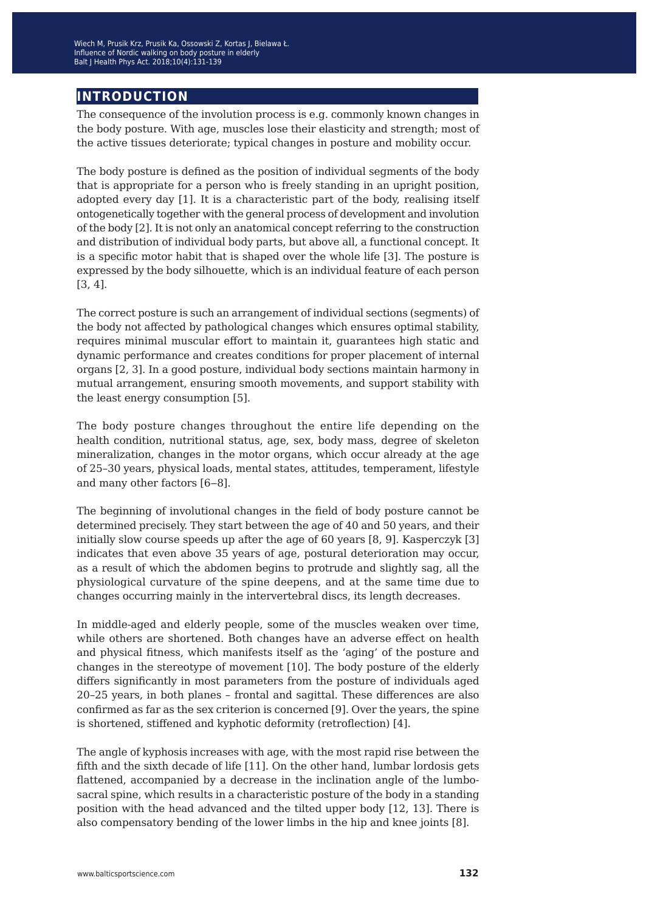### **introduction**

The consequence of the involution process is e.g. commonly known changes in the body posture. With age, muscles lose their elasticity and strength; most of the active tissues deteriorate; typical changes in posture and mobility occur.

The body posture is defined as the position of individual segments of the body that is appropriate for a person who is freely standing in an upright position, adopted every day [1]. It is a characteristic part of the body, realising itself ontogenetically together with the general process of development and involution of the body [2]. It is not only an anatomical concept referring to the construction and distribution of individual body parts, but above all, a functional concept. It is a specific motor habit that is shaped over the whole life [3]. The posture is expressed by the body silhouette, which is an individual feature of each person [3, 4].

The correct posture is such an arrangement of individual sections (segments) of the body not affected by pathological changes which ensures optimal stability, requires minimal muscular effort to maintain it, guarantees high static and dynamic performance and creates conditions for proper placement of internal organs [2, 3]. In a good posture, individual body sections maintain harmony in mutual arrangement, ensuring smooth movements, and support stability with the least energy consumption [5].

The body posture changes throughout the entire life depending on the health condition, nutritional status, age, sex, body mass, degree of skeleton mineralization, changes in the motor organs, which occur already at the age of 25–30 years, physical loads, mental states, attitudes, temperament, lifestyle and many other factors [6‒8].

The beginning of involutional changes in the field of body posture cannot be determined precisely. They start between the age of 40 and 50 years, and their initially slow course speeds up after the age of 60 years [8, 9]. Kasperczyk [3] indicates that even above 35 years of age, postural deterioration may occur, as a result of which the abdomen begins to protrude and slightly sag, all the physiological curvature of the spine deepens, and at the same time due to changes occurring mainly in the intervertebral discs, its length decreases.

In middle-aged and elderly people, some of the muscles weaken over time, while others are shortened. Both changes have an adverse effect on health and physical fitness, which manifests itself as the 'aging' of the posture and changes in the stereotype of movement [10]. The body posture of the elderly differs significantly in most parameters from the posture of individuals aged 20–25 years, in both planes – frontal and sagittal. These differences are also confirmed as far as the sex criterion is concerned [9]. Over the years, the spine is shortened, stiffened and kyphotic deformity (retroflection) [4].

The angle of kyphosis increases with age, with the most rapid rise between the fifth and the sixth decade of life [11]. On the other hand, lumbar lordosis gets flattened, accompanied by a decrease in the inclination angle of the lumbosacral spine, which results in a characteristic posture of the body in a standing position with the head advanced and the tilted upper body [12, 13]. There is also compensatory bending of the lower limbs in the hip and knee joints [8].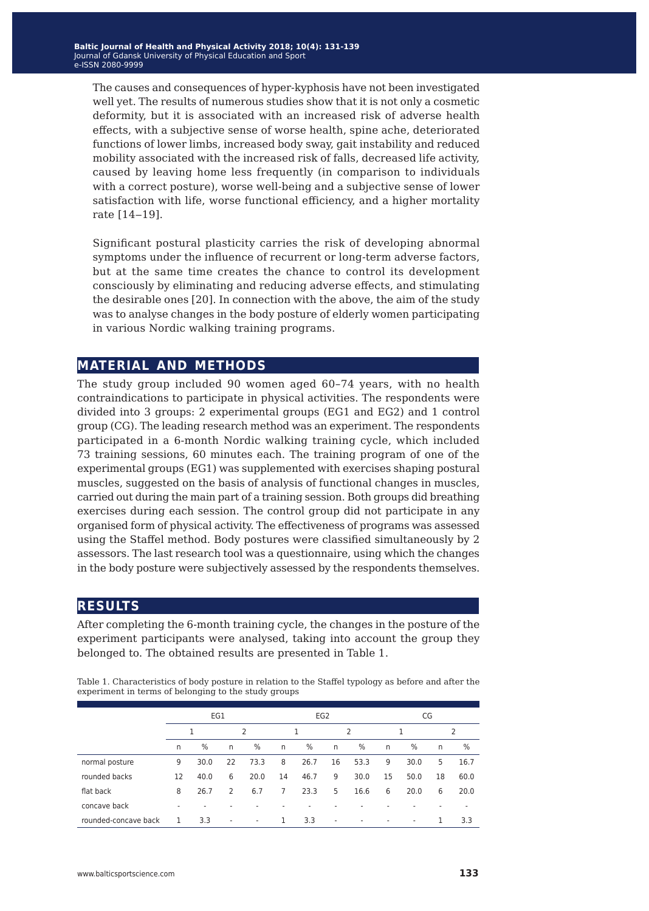The causes and consequences of hyper-kyphosis have not been investigated well yet. The results of numerous studies show that it is not only a cosmetic deformity, but it is associated with an increased risk of adverse health effects, with a subjective sense of worse health, spine ache, deteriorated functions of lower limbs, increased body sway, gait instability and reduced mobility associated with the increased risk of falls, decreased life activity, caused by leaving home less frequently (in comparison to individuals with a correct posture), worse well-being and a subjective sense of lower satisfaction with life, worse functional efficiency, and a higher mortality rate [14‒19].

Significant postural plasticity carries the risk of developing abnormal symptoms under the influence of recurrent or long-term adverse factors, but at the same time creates the chance to control its development consciously by eliminating and reducing adverse effects, and stimulating the desirable ones [20]. In connection with the above, the aim of the study was to analyse changes in the body posture of elderly women participating in various Nordic walking training programs.

#### **material and methods**

The study group included 90 women aged 60–74 years, with no health contraindications to participate in physical activities. The respondents were divided into 3 groups: 2 experimental groups (EG1 and EG2) and 1 control group (CG). The leading research method was an experiment. The respondents participated in a 6-month Nordic walking training cycle, which included 73 training sessions, 60 minutes each. The training program of one of the experimental groups (EG1) was supplemented with exercises shaping postural muscles, suggested on the basis of analysis of functional changes in muscles, carried out during the main part of a training session. Both groups did breathing exercises during each session. The control group did not participate in any organised form of physical activity. The effectiveness of programs was assessed using the Staffel method. Body postures were classified simultaneously by 2 assessors. The last research tool was a questionnaire, using which the changes in the body posture were subjectively assessed by the respondents themselves.

### **results**

After completing the 6-month training cycle, the changes in the posture of the experiment participants were analysed, taking into account the group they belonged to. The obtained results are presented in Table 1.

|                      | EG1 |               |    | EG <sub>2</sub> |              |               |                | CG   |                          |                          |              |      |
|----------------------|-----|---------------|----|-----------------|--------------|---------------|----------------|------|--------------------------|--------------------------|--------------|------|
|                      | 1   |               | 2  |                 |              |               | $\overline{2}$ |      |                          |                          | 2            |      |
|                      | n   | $\frac{0}{0}$ | n  | $\frac{0}{0}$   | $\mathsf{n}$ | $\frac{0}{0}$ | n              | %    | n                        | %                        | $\mathsf{n}$ | $\%$ |
| normal posture       | 9   | 30.0          | 22 | 73.3            | 8            | 26.7          | 16             | 53.3 | 9                        | 30.0                     | 5            | 16.7 |
| rounded backs        | 12  | 40.0          | 6  | 20.0            | 14           | 46.7          | 9              | 30.0 | 15                       | 50.0                     | 18           | 60.0 |
| flat back            | 8   | 26.7          | 2  | 6.7             | 7            | 23.3          | 5              | 16.6 | 6                        | 20.0                     | 6            | 20.0 |
| concave back         | ۰   |               |    |                 |              |               |                |      |                          |                          |              | ۰    |
| rounded-concave back | 1   | 3.3           | ٠  | ٠               | 1            | 3.3           | ٠              |      | $\overline{\phantom{a}}$ | $\overline{\phantom{a}}$ | 1            | 3.3  |

Table 1. Characteristics of body posture in relation to the Staffel typology as before and after the experiment in terms of belonging to the study groups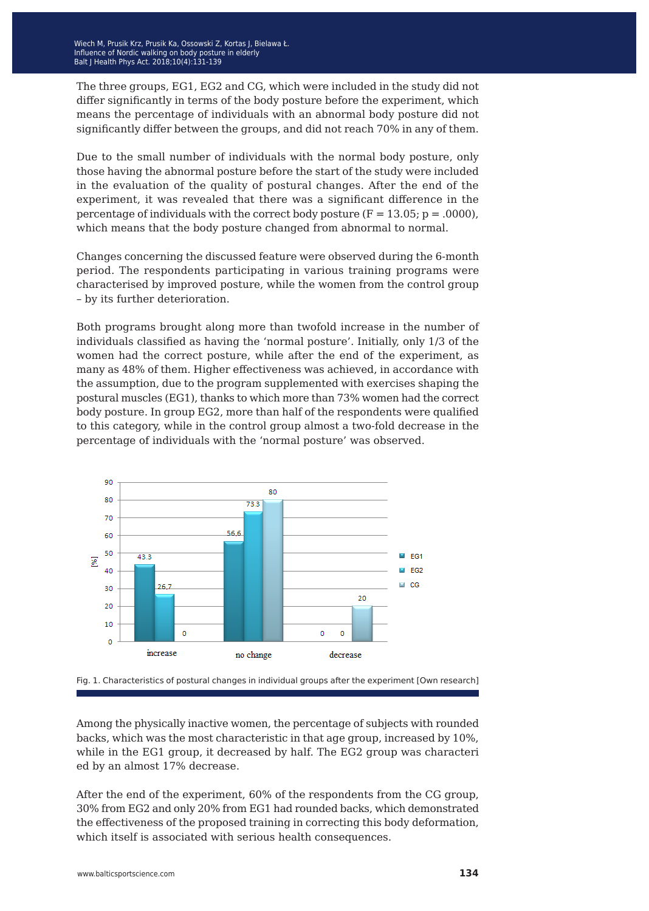The three groups, EG1, EG2 and CG, which were included in the study did not differ significantly in terms of the body posture before the experiment, which means the percentage of individuals with an abnormal body posture did not significantly differ between the groups, and did not reach 70% in any of them.

Due to the small number of individuals with the normal body posture, only those having the abnormal posture before the start of the study were included in the evaluation of the quality of postural changes. After the end of the experiment, it was revealed that there was a significant difference in the percentage of individuals with the correct body posture ( $F = 13.05$ ;  $p = .0000$ ), which means that the body posture changed from abnormal to normal.

Changes concerning the discussed feature were observed during the 6-month period. The respondents participating in various training programs were characterised by improved posture, while the women from the control group – by its further deterioration.

Both programs brought along more than twofold increase in the number of individuals classified as having the 'normal posture'. Initially, only 1/3 of the women had the correct posture, while after the end of the experiment, as many as 48% of them. Higher effectiveness was achieved, in accordance with the assumption, due to the program supplemented with exercises shaping the postural muscles (EG1), thanks to which more than 73% women had the correct body posture. In group EG2, more than half of the respondents were qualified to this category, while in the control group almost a two-fold decrease in the percentage of individuals with the 'normal posture' was observed.





Among the physically inactive women, the percentage of subjects with rounded backs, which was the most characteristic in that age group, increased by 10%, while in the EG1 group, it decreased by half. The EG2 group was characteri ed by an almost 17% decrease.

After the end of the experiment, 60% of the respondents from the CG group, 30% from EG2 and only 20% from EG1 had rounded backs, which demonstrated the effectiveness of the proposed training in correcting this body deformation, which itself is associated with serious health consequences.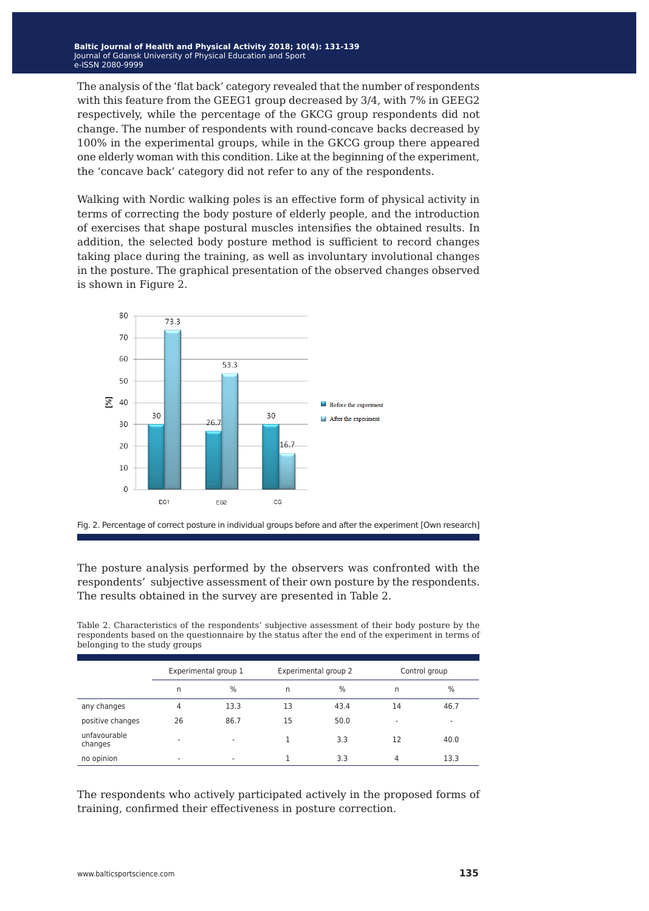The analysis of the 'flat back' category revealed that the number of respondents with this feature from the GEEG1 group decreased by 3/4, with 7% in GEEG2 respectively, while the percentage of the GKCG group respondents did not change. The number of respondents with round-concave backs decreased by 100% in the experimental groups, while in the GKCG group there appeared one elderly woman with this condition. Like at the beginning of the experiment, the 'concave back' category did not refer to any of the respondents.

Walking with Nordic walking poles is an effective form of physical activity in terms of correcting the body posture of elderly people, and the introduction of exercises that shape postural muscles intensifies the obtained results. In addition, the selected body posture method is sufficient to record changes taking place during the training, as well as involuntary involutional changes in the posture. The graphical presentation of the observed changes observed is shown in Figure 2.





The posture analysis performed by the observers was confronted with the respondents' subjective assessment of their own posture by the respondents. The results obtained in the survey are presented in Table 2.

Table 2. Characteristics of the respondents' subjective assessment of their body posture by the respondents based on the questionnaire by the status after the end of the experiment in terms of belonging to the study groups

|                         |    | Experimental group 1     |    | Experimental group 2 | Control group            |               |  |
|-------------------------|----|--------------------------|----|----------------------|--------------------------|---------------|--|
|                         | n  | $\%$                     | n  | %                    | n                        | $\frac{0}{0}$ |  |
| any changes             | 4  | 13.3                     | 13 | 43.4                 | 14                       | 46.7          |  |
| positive changes        | 26 | 86.7                     | 15 | 50.0                 | $\overline{\phantom{a}}$ | $\sim$        |  |
| unfavourable<br>changes | ۰  | $\overline{\phantom{a}}$ |    | 3.3                  | 12                       | 40.0          |  |
| no opinion              | ۰  | $\overline{\phantom{a}}$ |    | 3.3                  | 4                        | 13.3          |  |

The respondents who actively participated actively in the proposed forms of training, confirmed their effectiveness in posture correction.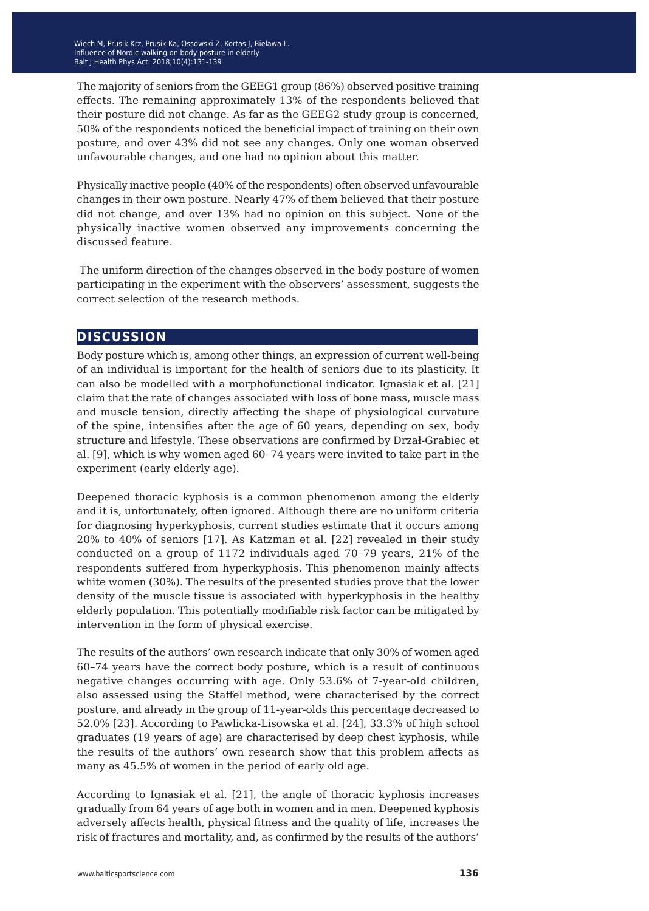The majority of seniors from the GEEG1 group (86%) observed positive training effects. The remaining approximately 13% of the respondents believed that their posture did not change. As far as the GEEG2 study group is concerned, 50% of the respondents noticed the beneficial impact of training on their own posture, and over 43% did not see any changes. Only one woman observed unfavourable changes, and one had no opinion about this matter.

Physically inactive people (40% of the respondents) often observed unfavourable changes in their own posture. Nearly 47% of them believed that their posture did not change, and over 13% had no opinion on this subject. None of the physically inactive women observed any improvements concerning the discussed feature.

 The uniform direction of the changes observed in the body posture of women participating in the experiment with the observers' assessment, suggests the correct selection of the research methods.

### **discussion**

Body posture which is, among other things, an expression of current well-being of an individual is important for the health of seniors due to its plasticity. It can also be modelled with a morphofunctional indicator. Ignasiak et al. [21] claim that the rate of changes associated with loss of bone mass, muscle mass and muscle tension, directly affecting the shape of physiological curvature of the spine, intensifies after the age of 60 years, depending on sex, body structure and lifestyle. These observations are confirmed by Drzał-Grabiec et al. [9], which is why women aged 60–74 years were invited to take part in the experiment (early elderly age).

Deepened thoracic kyphosis is a common phenomenon among the elderly and it is, unfortunately, often ignored. Although there are no uniform criteria for diagnosing hyperkyphosis, current studies estimate that it occurs among 20% to 40% of seniors [17]. As Katzman et al. [22] revealed in their study conducted on a group of 1172 individuals aged 70–79 years, 21% of the respondents suffered from hyperkyphosis. This phenomenon mainly affects white women (30%). The results of the presented studies prove that the lower density of the muscle tissue is associated with hyperkyphosis in the healthy elderly population. This potentially modifiable risk factor can be mitigated by intervention in the form of physical exercise.

The results of the authors' own research indicate that only 30% of women aged 60–74 years have the correct body posture, which is a result of continuous negative changes occurring with age. Only 53.6% of 7-year-old children, also assessed using the Staffel method, were characterised by the correct posture, and already in the group of 11-year-olds this percentage decreased to 52.0% [23]. According to Pawlicka-Lisowska et al. [24], 33.3% of high school graduates (19 years of age) are characterised by deep chest kyphosis, while the results of the authors' own research show that this problem affects as many as 45.5% of women in the period of early old age.

According to Ignasiak et al. [21], the angle of thoracic kyphosis increases gradually from 64 years of age both in women and in men. Deepened kyphosis adversely affects health, physical fitness and the quality of life, increases the risk of fractures and mortality, and, as confirmed by the results of the authors'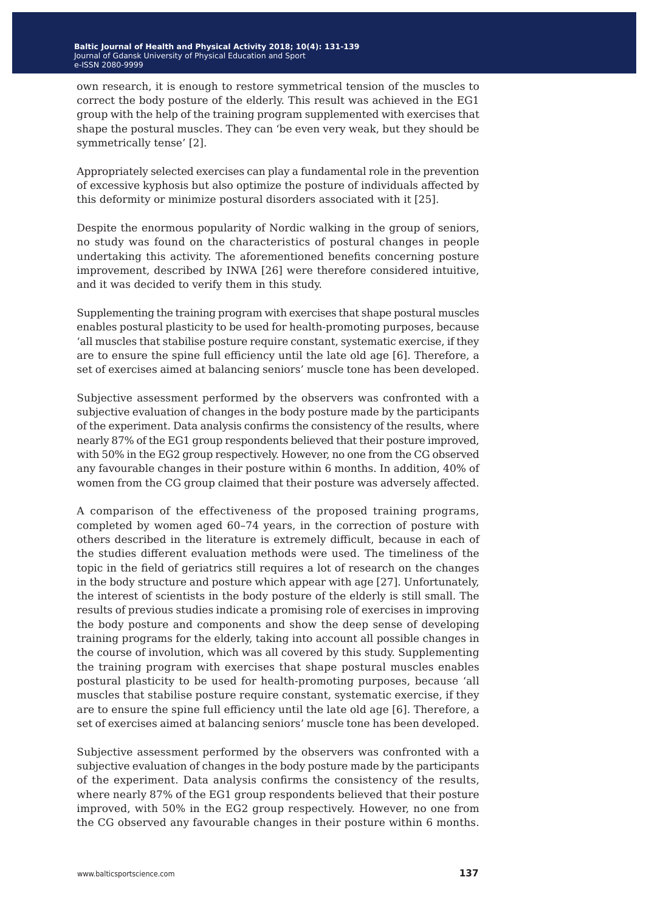own research, it is enough to restore symmetrical tension of the muscles to correct the body posture of the elderly. This result was achieved in the EG1 group with the help of the training program supplemented with exercises that shape the postural muscles. They can 'be even very weak, but they should be symmetrically tense' [2].

Appropriately selected exercises can play a fundamental role in the prevention of excessive kyphosis but also optimize the posture of individuals affected by this deformity or minimize postural disorders associated with it [25].

Despite the enormous popularity of Nordic walking in the group of seniors, no study was found on the characteristics of postural changes in people undertaking this activity. The aforementioned benefits concerning posture improvement, described by INWA [26] were therefore considered intuitive, and it was decided to verify them in this study.

Supplementing the training program with exercises that shape postural muscles enables postural plasticity to be used for health-promoting purposes, because 'all muscles that stabilise posture require constant, systematic exercise, if they are to ensure the spine full efficiency until the late old age [6]. Therefore, a set of exercises aimed at balancing seniors' muscle tone has been developed.

Subjective assessment performed by the observers was confronted with a subjective evaluation of changes in the body posture made by the participants of the experiment. Data analysis confirms the consistency of the results, where nearly 87% of the EG1 group respondents believed that their posture improved, with 50% in the EG2 group respectively. However, no one from the CG observed any favourable changes in their posture within 6 months. In addition, 40% of women from the CG group claimed that their posture was adversely affected.

A comparison of the effectiveness of the proposed training programs, completed by women aged 60–74 years, in the correction of posture with others described in the literature is extremely difficult, because in each of the studies different evaluation methods were used. The timeliness of the topic in the field of geriatrics still requires a lot of research on the changes in the body structure and posture which appear with age [27]. Unfortunately, the interest of scientists in the body posture of the elderly is still small. The results of previous studies indicate a promising role of exercises in improving the body posture and components and show the deep sense of developing training programs for the elderly, taking into account all possible changes in the course of involution, which was all covered by this study. Supplementing the training program with exercises that shape postural muscles enables postural plasticity to be used for health-promoting purposes, because 'all muscles that stabilise posture require constant, systematic exercise, if they are to ensure the spine full efficiency until the late old age [6]. Therefore, a set of exercises aimed at balancing seniors' muscle tone has been developed.

Subjective assessment performed by the observers was confronted with a subjective evaluation of changes in the body posture made by the participants of the experiment. Data analysis confirms the consistency of the results, where nearly 87% of the EG1 group respondents believed that their posture improved, with 50% in the EG2 group respectively. However, no one from the CG observed any favourable changes in their posture within 6 months.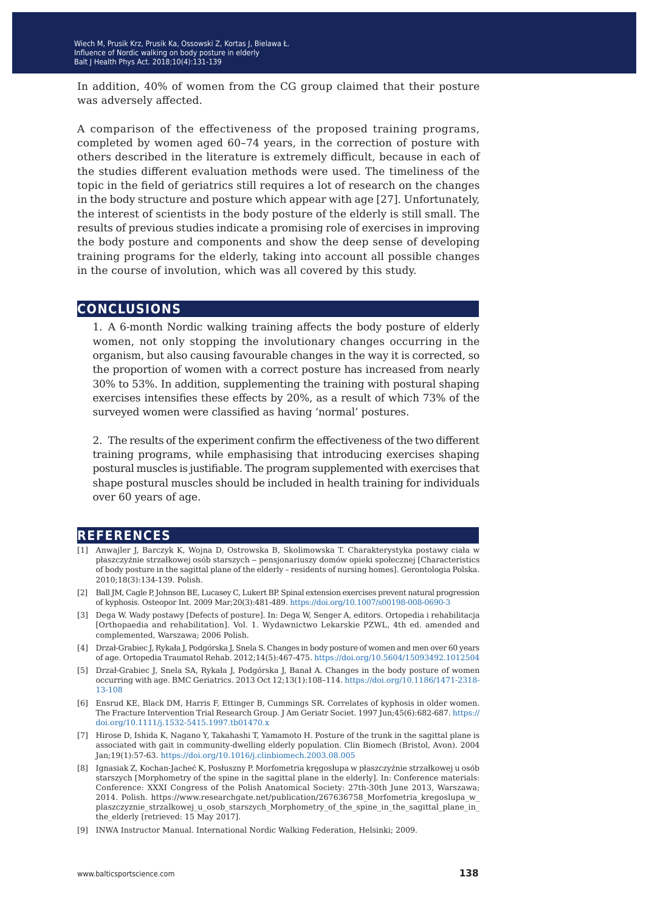In addition, 40% of women from the CG group claimed that their posture was adversely affected.

A comparison of the effectiveness of the proposed training programs, completed by women aged 60–74 years, in the correction of posture with others described in the literature is extremely difficult, because in each of the studies different evaluation methods were used. The timeliness of the topic in the field of geriatrics still requires a lot of research on the changes in the body structure and posture which appear with age [27]. Unfortunately, the interest of scientists in the body posture of the elderly is still small. The results of previous studies indicate a promising role of exercises in improving the body posture and components and show the deep sense of developing training programs for the elderly, taking into account all possible changes in the course of involution, which was all covered by this study.

#### **conclusions**

1. A 6-month Nordic walking training affects the body posture of elderly women, not only stopping the involutionary changes occurring in the organism, but also causing favourable changes in the way it is corrected, so the proportion of women with a correct posture has increased from nearly 30% to 53%. In addition, supplementing the training with postural shaping exercises intensifies these effects by 20%, as a result of which 73% of the surveyed women were classified as having 'normal' postures.

2. The results of the experiment confirm the effectiveness of the two different training programs, while emphasising that introducing exercises shaping postural muscles is justifiable. The program supplemented with exercises that shape postural muscles should be included in health training for individuals over 60 years of age.

#### **references**

- [1] Anwajler J, Barczyk K, Wojna D, Ostrowska B, Skolimowska T. Charakterystyka postawy ciała w płaszczyźnie strzałkowej osób starszych ‒ pensjonariuszy domów opieki społecznej [Characteristics of body posture in the sagittal plane of the elderly – residents of nursing homes]. Gerontologia Polska. 2010;18(3):134-139. Polish.
- [2] Ball JM, Cagle P, Johnson BE, Lucasey C, Lukert BP. Spinal extension exercises prevent natural progression of kyphosis. Osteopor Int. 2009 Mar;20(3):481-489.<https://doi.org/10.1007/s00198-008-0690-3>
- [3] Dega W. Wady postawy [Defects of posture]. In: Dega W, Senger A, editors. Ortopedia i rehabilitacja [Orthopaedia and rehabilitation]. Vol. 1. Wydawnictwo Lekarskie PZWL, 4th ed. amended and complemented, Warszawa; 2006 Polish.
- [4] Drzał-Grabiec J, Rykała J, Podgórska J, Snela S. Changes in body posture of women and men over 60 years of age. Ortopedia Traumatol Rehab. 2012;14(5):467-475. https://doi.org/10.5604/15093492.1012504
- [5] Drzał-Grabiec J, Snela SA, Rykała J, Podgórska J, Banał A. Changes in the body posture of women occurring with age. BMC Geriatrics. 2013 Oct 12;13(1):108–114. [https://doi.org/10.1186/1471-2318-](https://doi.org/10.1186/1471-2318-13-108) [13-108](https://doi.org/10.1186/1471-2318-13-108)
- [6] Ensrud KE, Black DM, Harris F, Ettinger B, Cummings SR. Correlates of kyphosis in older women. The Fracture Intervention Trial Research Group. J Am Geriatr Societ. 1997 Jun;45(6):682-687. [https://](https://doi.org/10.1111/j.1532-5415.1997.tb01470.x) [doi.org/10.1111/j.1532-5415.1997.tb01470.x](https://doi.org/10.1111/j.1532-5415.1997.tb01470.x)
- [7] Hirose D, Ishida K, Nagano Y, Takahashi T, Yamamoto H. Posture of the trunk in the sagittal plane is associated with gait in community-dwelling elderly population. Clin Biomech (Bristol, Avon). 2004 Jan;19(1):57-63[. https://doi.org/10.1016/j.clinbiomech.2003.08.005](https://doi.org/10.1016/j.clinbiomech.2003.08.005)
- [8] Ignasiak Z, Kochan-Jacheć K, Posłuszny P. Morfometria kręgosłupa w płaszczyźnie strzałkowej u osób starszych [Morphometry of the spine in the sagittal plane in the elderly]. In: Conference materials: Conference: XXXI Congress of the Polish Anatomical Society: 27th-30th June 2013, Warszawa; 2014. Polish. https://www.researchgate.net/publication/267636758\_Morfometria\_kregoslupa\_w\_ plaszczyznie\_strzalkowej\_u\_osob\_starszych\_Morphometry\_of\_the\_spine\_in\_the\_sagittal\_plane\_in\_ the elderly [retrieved: 15 May 2017].
- [9] INWA Instructor Manual. International Nordic Walking Federation, Helsinki; 2009.